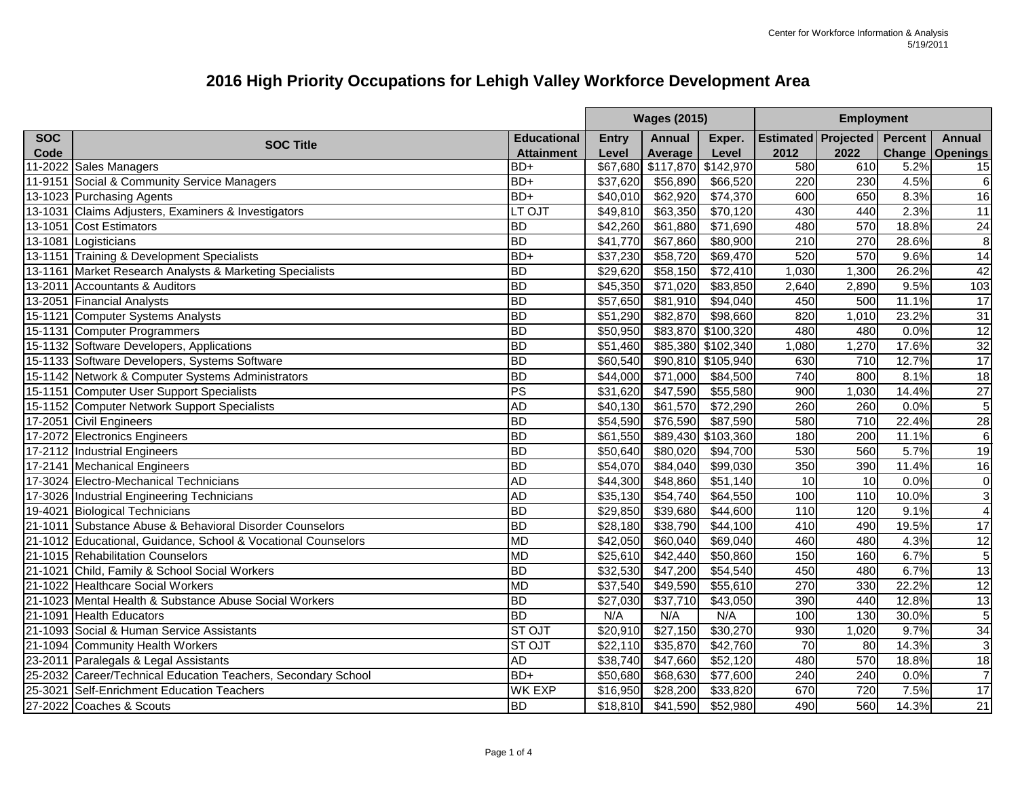|            |                                                               |                    | <b>Wages (2015)</b> |                              |                    | <b>Employment</b> |                                    |       |                        |
|------------|---------------------------------------------------------------|--------------------|---------------------|------------------------------|--------------------|-------------------|------------------------------------|-------|------------------------|
| <b>SOC</b> |                                                               | <b>Educational</b> | <b>Entry</b>        | <b>Annual</b>                | Exper.             |                   | <b>Estimated Projected Percent</b> |       | <b>Annual</b>          |
| Code       | <b>SOC Title</b>                                              | <b>Attainment</b>  | Level               | Average                      | Level              | 2012              | 2022                               |       | <b>Change Openings</b> |
|            | 11-2022 Sales Managers                                        | BD+                |                     | \$67,680 \$117,870 \$142,970 |                    | 580               | 610                                | 5.2%  | 15                     |
|            | 11-9151 Social & Community Service Managers                   | BD+                | \$37,620            | \$56,890                     | \$66,520           | 220               | 230                                | 4.5%  | $6\phantom{1}6$        |
|            | 13-1023 Purchasing Agents                                     | BD+                | \$40,010            | \$62,920                     | \$74,370           | 600               | 650                                | 8.3%  | 16                     |
|            | 13-1031 Claims Adjusters, Examiners & Investigators           | LT OJT             | \$49,810            | \$63,350                     | \$70,120           | 430               | 440                                | 2.3%  | 11                     |
|            | 13-1051 Cost Estimators                                       | <b>BD</b>          | \$42,260            | \$61,880                     | \$71,690           | 480               | 570                                | 18.8% | $\overline{24}$        |
|            | 13-1081 Logisticians                                          | <b>BD</b>          | \$41,770            | \$67,860                     | \$80,900           | 210               | 270                                | 28.6% | $\overline{8}$         |
|            | 13-1151 Training & Development Specialists                    | BD+                | \$37,230            | \$58,720                     | \$69,470           | 520               | 570                                | 9.6%  | $\overline{14}$        |
|            | 13-1161 Market Research Analysts & Marketing Specialists      | <b>BD</b>          | \$29,620            | \$58,150                     | \$72,410           | 1,030             | 1,300                              | 26.2% | 42                     |
|            | 13-2011 Accountants & Auditors                                | <b>BD</b>          | \$45,350            | \$71,020                     | \$83,850           | 2,640             | 2,890                              | 9.5%  | 103                    |
|            | 13-2051 Financial Analysts                                    | $\overline{BD}$    | \$57,650            | \$81,910                     | \$94,040           | 450               | 500                                | 11.1% | $\overline{17}$        |
|            | 15-1121 Computer Systems Analysts                             | $\overline{BD}$    | \$51,290            | \$82,870                     | \$98,660           | 820               | 1,010                              | 23.2% | $\overline{31}$        |
|            | 15-1131 Computer Programmers                                  | <b>BD</b>          | \$50,950            |                              | \$83,870 \$100,320 | 480               | 480                                | 0.0%  | $\overline{12}$        |
|            | 15-1132 Software Developers, Applications                     | <b>BD</b>          | \$51,460            |                              | \$85,380 \$102,340 | 1,080             | 1,270                              | 17.6% |                        |
|            | 15-1133 Software Developers, Systems Software                 | $\overline{BD}$    | \$60,540            |                              | \$90,810 \$105,940 | 630               | 710                                | 12.7% | $\frac{32}{17}$        |
|            | 15-1142 Network & Computer Systems Administrators             | <b>BD</b>          | \$44,000            | \$71,000                     | \$84,500           | 740               | 800                                | 8.1%  | $\overline{18}$        |
|            | 15-1151 Computer User Support Specialists                     | <b>PS</b>          | \$31,620            | \$47,590                     | \$55,580           | 900               | 1,030                              | 14.4% | 27                     |
|            | 15-1152 Computer Network Support Specialists                  | <b>AD</b>          | \$40,130            | \$61,570                     | \$72,290           | 260               | 260                                | 0.0%  | $\overline{5}$         |
|            | 17-2051 Civil Engineers                                       | <b>BD</b>          | \$54,590            | \$76,590                     | \$87,590           | 580               | 710                                | 22.4% | $\overline{28}$        |
|            | 17-2072 Electronics Engineers                                 | $\overline{BD}$    | \$61,550            |                              | \$89,430 \$103,360 | 180               | 200                                | 11.1% | $\overline{6}$         |
|            | 17-2112 Industrial Engineers                                  | <b>BD</b>          | \$50,640            | \$80,020                     | \$94,700           | 530               | 560                                | 5.7%  | 19                     |
|            | 17-2141 Mechanical Engineers                                  | <b>BD</b>          | \$54,070            | \$84,040                     | \$99,030           | 350               | 390                                | 11.4% | 16                     |
|            | 17-3024 Electro-Mechanical Technicians                        | <b>AD</b>          | \$44,300            | \$48,860                     | \$51,140           | 10                | 10                                 | 0.0%  | 0                      |
|            | 17-3026 Industrial Engineering Technicians                    | <b>AD</b>          | \$35,130            | \$54,740                     | \$64,550           | 100               | 110                                | 10.0% | $\overline{3}$         |
|            | 19-4021 Biological Technicians                                | <b>BD</b>          | \$29,850            | \$39,680                     | \$44,600           | 110               | 120                                | 9.1%  | $\overline{4}$         |
|            | 21-1011 Substance Abuse & Behavioral Disorder Counselors      | <b>BD</b>          | \$28,180            | \$38,790                     | \$44,100           | 410               | 490                                | 19.5% | 17                     |
|            | 21-1012 Educational, Guidance, School & Vocational Counselors | <b>MD</b>          | \$42,050            | \$60,040                     | \$69,040           | 460               | 480                                | 4.3%  | 12                     |
|            | 21-1015 Rehabilitation Counselors                             | <b>MD</b>          | \$25,610            | \$42,440                     | \$50,860           | 150               | 160                                | 6.7%  | $\overline{5}$         |
|            | 21-1021 Child, Family & School Social Workers                 | <b>BD</b>          | \$32,530            | \$47,200                     | \$54,540           | 450               | 480                                | 6.7%  | 13                     |
|            | 21-1022 Healthcare Social Workers                             | <b>MD</b>          | \$37,540            | \$49,590                     | \$55,610           | 270               | 330                                | 22.2% | $\overline{12}$        |
|            | 21-1023 Mental Health & Substance Abuse Social Workers        | <b>BD</b>          | \$27,030            | \$37,710                     | \$43,050           | 390               | 440                                | 12.8% | 13                     |
|            | 21-1091 Health Educators                                      | <b>BD</b>          | N/A                 | N/A                          | N/A                | 100               | 130                                | 30.0% | $\overline{5}$         |
|            | 21-1093 Social & Human Service Assistants                     | ST OJT             | \$20,910            | \$27,150                     | \$30,270           | 930               | 1,020                              | 9.7%  | 34                     |
|            | 21-1094 Community Health Workers                              | <b>STOJT</b>       | \$22,110            | \$35,870                     | \$42,760           | 70                | 80                                 | 14.3% | 3                      |
|            | 23-2011 Paralegals & Legal Assistants                         | AD                 | \$38,740            | \$47,660                     | \$52,120           | 480               | 570                                | 18.8% | 18                     |
|            | 25-2032 Career/Technical Education Teachers, Secondary School | BD+                | \$50,680            | \$68,630                     | \$77,600           | 240               | 240                                | 0.0%  | $\overline{7}$         |
|            | 25-3021 Self-Enrichment Education Teachers                    | <b>WK EXP</b>      | \$16,950            | \$28,200                     | \$33,820           | 670               | 720                                | 7.5%  | 17                     |
|            | 27-2022 Coaches & Scouts                                      | <b>BD</b>          | \$18,810            | \$41,590                     | \$52,980           | 490               | 560                                | 14.3% | 21                     |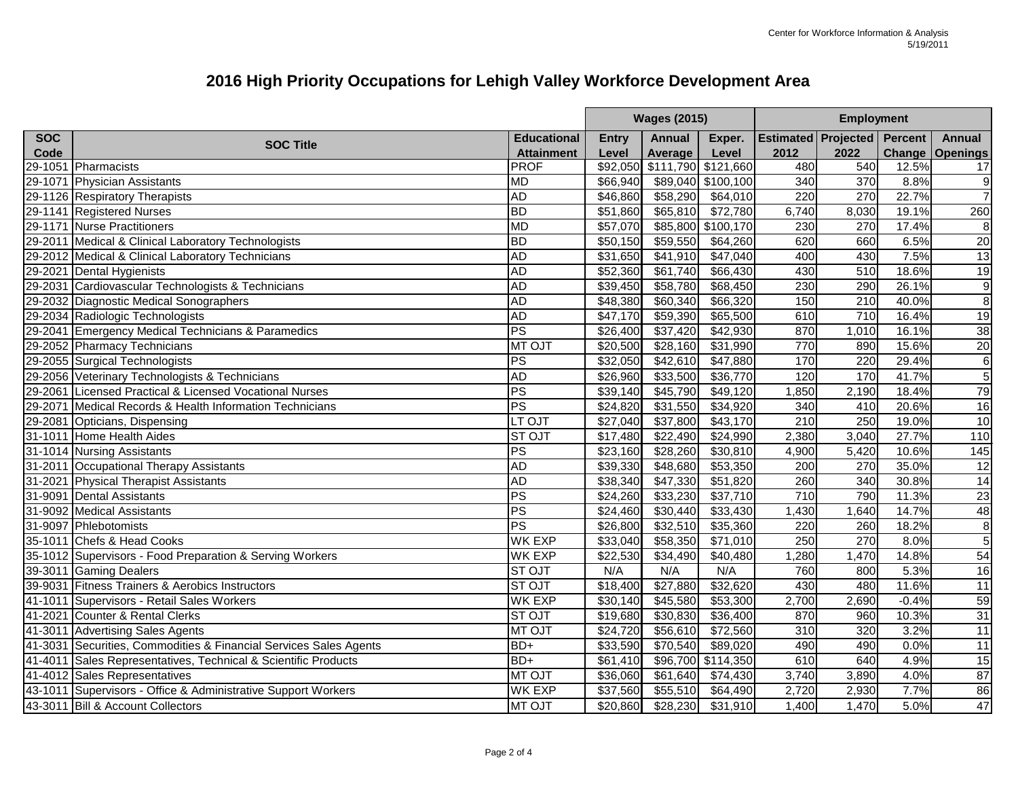|            |                                                                   |                    | <b>Wages (2015)</b> |                              |                    | <b>Employment</b> |                                    |         |                        |
|------------|-------------------------------------------------------------------|--------------------|---------------------|------------------------------|--------------------|-------------------|------------------------------------|---------|------------------------|
| <b>SOC</b> |                                                                   | <b>Educational</b> | <b>Entry</b>        | <b>Annual</b>                | Exper.             |                   | <b>Estimated Projected Percent</b> |         | <b>Annual</b>          |
| Code       | <b>SOC Title</b>                                                  | <b>Attainment</b>  | Level               | Average                      | Level              | 2012              | 2022                               |         | <b>Change Openings</b> |
| 29-1051    | Pharmacists                                                       | <b>PROF</b>        |                     | \$92,050 \$111,790 \$121,660 |                    | 480               | 540                                | 12.5%   | 17                     |
| 29-1071    | <b>Physician Assistants</b>                                       | <b>MD</b>          | \$66,940            |                              | \$89,040 \$100,100 | 340               | 370                                | 8.8%    | 9                      |
|            | 29-1126 Respiratory Therapists                                    | <b>AD</b>          | \$46,860            | \$58,290                     | \$64,010           | 220               | 270                                | 22.7%   | $\overline{7}$         |
|            | 29-1141 Registered Nurses                                         | <b>BD</b>          | \$51,860            | \$65,810                     | \$72,780           | 6,740             | 8,030                              | 19.1%   | 260                    |
|            | 29-1171 Nurse Practitioners                                       | <b>MD</b>          | \$57,070            | \$85,800                     | \$100,170          | 230               | 270                                | 17.4%   | 8                      |
|            | 29-2011   Medical & Clinical Laboratory Technologists             | <b>BD</b>          | \$50,150            | \$59,550                     | \$64,260           | 620               | 660                                | 6.5%    | 20                     |
|            | 29-2012 Medical & Clinical Laboratory Technicians                 | <b>AD</b>          | \$31,650            | \$41,910                     | \$47,040           | 400               | 430                                | 7.5%    | 13                     |
|            | 29-2021 Dental Hygienists                                         | <b>AD</b>          | \$52,360            | \$61,740                     | \$66,430           | 430               | 510                                | 18.6%   | 19                     |
|            | 29-2031 Cardiovascular Technologists & Technicians                | <b>AD</b>          | \$39,450            | \$58,780                     | \$68,450           | 230               | 290                                | 26.1%   | $\boldsymbol{9}$       |
|            | 29-2032 Diagnostic Medical Sonographers                           | <b>AD</b>          | \$48,380            | \$60,340                     | \$66,320           | 150               | 210                                | 40.0%   | $\overline{8}$         |
|            | 29-2034 Radiologic Technologists                                  | <b>AD</b>          | \$47,170            | \$59,390                     | \$65,500           | 610               | 710                                | 16.4%   | $\overline{19}$        |
|            | 29-2041 Emergency Medical Technicians & Paramedics                | PS                 | \$26,400            | \$37,420                     | $\sqrt{$42,930}$   | 870               | 1,010                              | 16.1%   | 38                     |
|            | 29-2052 Pharmacy Technicians                                      | MT OJT             | \$20,500            | \$28,160                     | \$31,990           | 770               | 890                                | 15.6%   | 20                     |
|            | 29-2055 Surgical Technologists                                    | <b>PS</b>          | \$32,050            | \$42,610                     | \$47,880           | 170               | 220                                | 29.4%   | $\overline{6}$         |
|            | 29-2056 Veterinary Technologists & Technicians                    | <b>AD</b>          | \$26,960            | \$33,500                     | \$36,770           | 120               | 170                                | 41.7%   | $\overline{5}$         |
|            | 29-2061 Licensed Practical & Licensed Vocational Nurses           | PS                 | \$39,140            | \$45,790                     | \$49,120           | 1,850             | 2,190                              | 18.4%   | 79                     |
|            | 29-2071 Medical Records & Health Information Technicians          | PS                 | \$24,820            | \$31,550                     | \$34,920           | 340               | 410                                | 20.6%   | 16                     |
| 29-2081    | Opticians, Dispensing                                             | LT OJT             | \$27,040            | \$37,800                     | \$43,170           | 210               | 250                                | 19.0%   | 10                     |
|            | 31-1011 Home Health Aides                                         | <b>STOJT</b>       | \$17,480            | \$22,490                     | $\sqrt{$24,990}$   | 2,380             | 3,040                              | 27.7%   | 110                    |
|            | 31-1014 Nursing Assistants                                        | <b>PS</b>          | \$23,160            | \$28,260                     | \$30,810           | 4,900             | 5,420                              | 10.6%   | 145                    |
|            | 31-2011 Occupational Therapy Assistants                           | <b>AD</b>          | \$39,330            | \$48,680                     | \$53,350           | 200               | 270                                | 35.0%   | $\overline{12}$        |
|            | 31-2021 Physical Therapist Assistants                             | <b>AD</b>          | \$38,340            | $\overline{\$47,330}$        | \$51,820           | 260               | 340                                | 30.8%   | $\overline{14}$        |
| 31-9091    | Dental Assistants                                                 | PS                 | \$24,260            | \$33,230                     | \$37,710           | 710               | 790                                | 11.3%   | 23                     |
|            | 31-9092 Medical Assistants                                        | <b>PS</b>          | \$24,460            | \$30,440                     | \$33,430           | 1,430             | 1,640                              | 14.7%   | 48                     |
|            | 31-9097 Phlebotomists                                             | PS                 | \$26,800            | \$32,510                     | \$35,360           | 220               | 260                                | 18.2%   | $\overline{8}$         |
|            | 35-1011 Chefs & Head Cooks                                        | <b>WK EXP</b>      | \$33,040            | \$58,350                     | \$71,010           | 250               | 270                                | 8.0%    | $\overline{5}$         |
|            | 35-1012 Supervisors - Food Preparation & Serving Workers          | <b>WK EXP</b>      | \$22,530            | \$34,490                     | \$40,480           | ,280              | 1,470                              | 14.8%   | 54                     |
|            | 39-3011 Gaming Dealers                                            | <b>STOJT</b>       | N/A                 | N/A                          | N/A                | 760               | 800                                | 5.3%    | 16                     |
|            | 39-9031 Fitness Trainers & Aerobics Instructors                   | <b>STOJT</b>       | \$18,400            | \$27,880                     | \$32,620           | 430               | 480                                | 11.6%   | 11                     |
|            | 41-1011 Supervisors - Retail Sales Workers                        | <b>WK EXP</b>      | \$30,140            | \$45,580                     | \$53,300           | 2,700             | 2,690                              | $-0.4%$ | 59                     |
|            | 41-2021 Counter & Rental Clerks                                   | <b>STOJT</b>       | \$19,680            | \$30,830                     | \$36,400           | 870               | 960                                | 10.3%   | 31                     |
|            | 41-3011 Advertising Sales Agents                                  | <b>MT OJT</b>      | \$24,720            | \$56,610                     | \$72,560           | 310               | 320                                | 3.2%    | 11                     |
|            | 41-3031 Securities, Commodities & Financial Services Sales Agents | BD+                | \$33,590            | \$70,540                     | \$89,020           | 490               | 490                                | 0.0%    | 11                     |
|            | 41-4011 Sales Representatives, Technical & Scientific Products    | BD+                | \$61,410            |                              | \$96,700 \$114,350 | 610               | 640                                | 4.9%    | 15                     |
|            | 41-4012 Sales Representatives                                     | MT OJT             | \$36,060            | \$61,640                     | \$74,430           | 3,740             | 3,890                              | 4.0%    | 87                     |
|            | 43-1011 Supervisors - Office & Administrative Support Workers     | <b>WK EXP</b>      | \$37,560            | \$55,510                     | \$64,490           | 2,720             | 2,930                              | 7.7%    | 86                     |
|            | 43-3011 Bill & Account Collectors                                 | <b>IMT OJT</b>     | \$20,860            | \$28,230                     | \$31,910           | 1,400             | 1,470                              | 5.0%    | 47                     |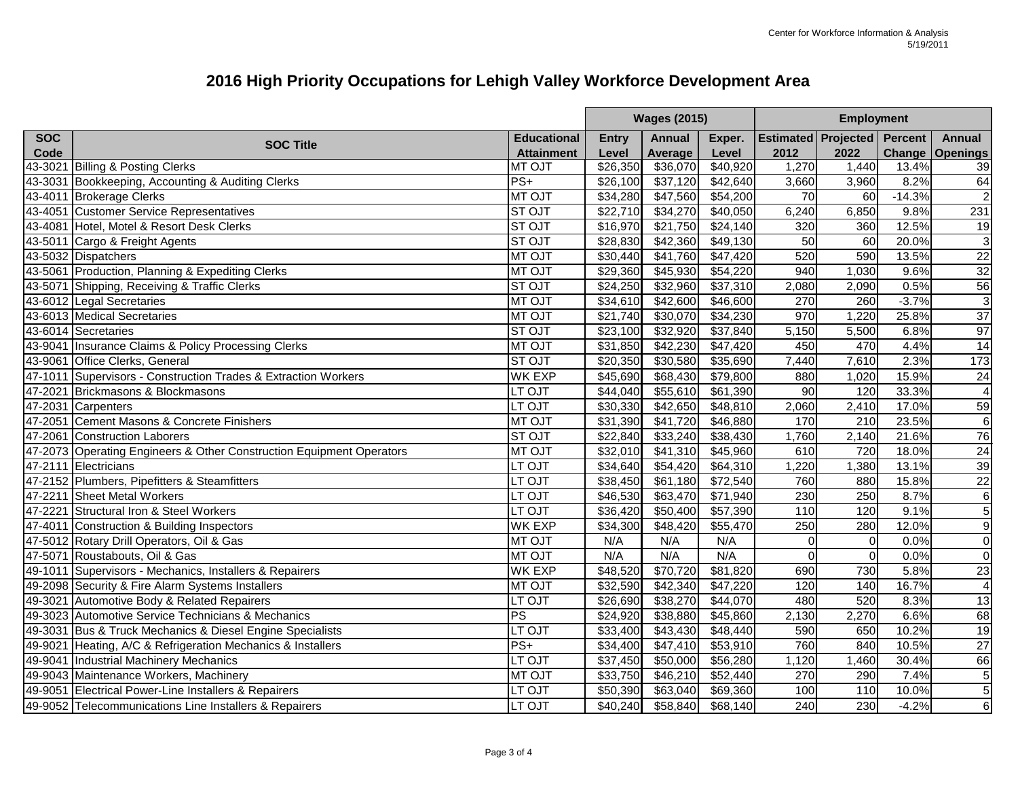|            |                                                                      |                    | <b>Wages (2015)</b>  |               |          | <b>Employment</b>                  |              |          |                        |
|------------|----------------------------------------------------------------------|--------------------|----------------------|---------------|----------|------------------------------------|--------------|----------|------------------------|
| <b>SOC</b> | <b>SOC Title</b>                                                     | <b>Educational</b> | <b>Entry</b>         | <b>Annual</b> | Exper.   | <b>Estimated Projected Percent</b> |              |          | <b>Annual</b>          |
| Code       |                                                                      | <b>Attainment</b>  | Level                | Average       | Level    | 2012                               | 2022         |          | <b>Change Openings</b> |
|            | 43-3021 Billing & Posting Clerks                                     | MT OJT             | \$26,350             | \$36,070      | \$40,920 | 1,270                              | 1,440        | 13.4%    | 39                     |
| 43-3031    | Bookkeeping, Accounting & Auditing Clerks                            | $PS+$              | \$26,100             | \$37,120      | \$42,640 | 3,660                              | 3,960        | 8.2%     | 64                     |
| 43-4011    | <b>Brokerage Clerks</b>                                              | <b>MT OJT</b>      | \$34,280             | \$47,560      | \$54,200 | 70                                 | 60           | $-14.3%$ | $\overline{2}$         |
|            | 43-4051 Customer Service Representatives                             | <b>ST OJT</b>      | \$22,710             | \$34,270      | \$40,050 | 6,240                              | 6,850        | 9.8%     | 231                    |
|            | 43-4081 Hotel, Motel & Resort Desk Clerks                            | <b>ST OJT</b>      | \$16,970             | \$21,750      | \$24,140 | 320                                | 360          | 12.5%    | 19                     |
|            | 43-5011 Cargo & Freight Agents                                       | <b>STOJT</b>       | \$28,830             | \$42,360      | \$49,130 | 50                                 | 60           | 20.0%    | $\mathbf{3}$           |
|            | 43-5032 Dispatchers                                                  | <b>MT OJT</b>      | \$30,440             | \$41,760      | \$47,420 | 520                                | 590          | 13.5%    | $\frac{22}{32}$        |
|            | 43-5061 Production, Planning & Expediting Clerks                     | <b>MT OJT</b>      | \$29,360             | \$45,930      | \$54,220 | 940                                | 1,030        | 9.6%     |                        |
|            | 43-5071 Shipping, Receiving & Traffic Clerks                         | <b>STOJT</b>       | \$24,250             | \$32,960      | \$37,310 | 2,080                              | 2,090        | 0.5%     | 56                     |
|            | 43-6012 Legal Secretaries                                            | <b>MT OJT</b>      | \$34,610             | \$42,600      | \$46,600 | 270                                | 260          | $-3.7%$  | $\sqrt{3}$             |
|            | 43-6013 Medical Secretaries                                          | <b>MT OJT</b>      | \$21,740             | \$30,070      | \$34,230 | 970                                | 1,220        | 25.8%    | $\overline{37}$        |
|            | 43-6014 Secretaries                                                  | <b>STOJT</b>       | \$23,100             | \$32,920      | \$37,840 | 5,150                              | 5,500        | 6.8%     | 97                     |
|            | 43-9041 Insurance Claims & Policy Processing Clerks                  | <b>MT OJT</b>      | \$31,850             | \$42,230      | \$47,420 | 450                                | 470          | 4.4%     | 14                     |
|            | 43-9061 Office Clerks, General                                       | <b>STOJT</b>       | \$20,350             | \$30,580      | \$35,690 | 7,440                              | 7,610        | 2.3%     | 173                    |
| 47-1011    | Supervisors - Construction Trades & Extraction Workers               | <b>WK EXP</b>      | \$45,690             | \$68,430      | \$79,800 | 880                                | 1,020        | 15.9%    | 24                     |
| 47-2021    | Brickmasons & Blockmasons                                            | LT OJT             | \$44,040             | \$55,610      | \$61,390 | 90                                 | 120          | 33.3%    | $\overline{4}$         |
|            | 47-2031 Carpenters                                                   | LT OJT             | \$30,330             | \$42,650      | \$48,810 | 2,060                              | 2,410        | 17.0%    | 59                     |
| 47-2051    | Cement Masons & Concrete Finishers                                   | <b>MT OJT</b>      | \$31,390             | \$41,720      | \$46,880 | 170                                | 210          | 23.5%    | $6\phantom{1}6$        |
| 47-2061    | <b>Construction Laborers</b>                                         | <b>STOJT</b>       | \$22,840             | \$33,240      | \$38,430 | 1,760                              | 2,140        | 21.6%    | 76                     |
|            | 47-2073 Operating Engineers & Other Construction Equipment Operators | <b>MT OJT</b>      | \$32,010             | \$41,310      | \$45,960 | 610                                | 720          | 18.0%    | $\frac{24}{39}$        |
|            | 47-2111 Electricians                                                 | LT OJT             | \$34,640             | \$54,420      | \$64,310 | ,220                               | 1,380        | 13.1%    |                        |
|            | 47-2152 Plumbers, Pipefitters & Steamfitters                         | LT OJT             | $\overline{$}38,450$ | \$61,180      | \$72,540 | 760                                | 880          | 15.8%    | 22                     |
| 47-2211    | <b>Sheet Metal Workers</b>                                           | LT OJT             | \$46,530             | \$63,470      | \$71,940 | 230                                | 250          | 8.7%     | $\overline{6}$         |
| 47-2221    | Structural Iron & Steel Workers                                      | LT OJT             | \$36,420             | \$50,400      | \$57,390 | 110                                | 120          | 9.1%     | $\overline{5}$         |
|            | 47-4011 Construction & Building Inspectors                           | <b>WK EXP</b>      | \$34,300             | \$48,420      | \$55,470 | 250                                | 280          | 12.0%    | $\boldsymbol{9}$       |
|            | 47-5012 Rotary Drill Operators, Oil & Gas                            | <b>MT OJT</b>      | N/A                  | N/A           | N/A      | $\Omega$                           | 0            | 0.0%     | $\overline{0}$         |
|            | 47-5071 Roustabouts, Oil & Gas                                       | <b>MT OJT</b>      | N/A                  | N/A           | N/A      | $\Omega$                           | $\mathbf{0}$ | 0.0%     | $\overline{0}$         |
|            | 49-1011 Supervisors - Mechanics, Installers & Repairers              | WK EXP             | \$48,520             | \$70,720      | \$81,820 | 690                                | 730          | 5.8%     | 23                     |
|            | 49-2098 Security & Fire Alarm Systems Installers                     | <b>MT OJT</b>      | \$32,590             | \$42,340      | \$47,220 | 120                                | 140          | 16.7%    | $\overline{4}$         |
| 49-3021    | Automotive Body & Related Repairers                                  | LT OJT             | \$26,690             | \$38,270      | \$44,070 | 480                                | 520          | 8.3%     | 13                     |
|            | 49-3023 Automotive Service Technicians & Mechanics                   | <b>PS</b>          | \$24,920             | \$38,880      | \$45,860 | 2,130                              | 2,270        | 6.6%     | 68                     |
|            | 49-3031 Bus & Truck Mechanics & Diesel Engine Specialists            | <b>LT OJT</b>      | \$33,400             | \$43,430      | \$48,440 | 590                                | 650          | 10.2%    | 19                     |
|            | 49-9021 Heating, A/C & Refrigeration Mechanics & Installers          | $PS+$              | \$34,400             | \$47,410      | \$53,910 | 760                                | 840          | 10.5%    | 27                     |
|            | 49-9041 Industrial Machinery Mechanics                               | LT OJT             | \$37,450             | \$50,000      | \$56,280 | 1,120                              | 1,460        | 30.4%    | 66                     |
|            | 49-9043 Maintenance Workers, Machinery                               | <b>MT OJT</b>      | \$33,750             | \$46,210      | \$52,440 | 270                                | 290          | 7.4%     | $\,$ 5 $\,$            |
|            | 49-9051 Electrical Power-Line Installers & Repairers                 | LT OJT             | \$50,390             | \$63,040      | \$69,360 | 100                                | 110          | 10.0%    | $\mathbf 5$            |
|            | 49-9052 Telecommunications Line Installers & Repairers               | LT OJT             | \$40,240             | \$58,840      | \$68,140 | 240                                | 230          | $-4.2%$  | $\overline{6}$         |